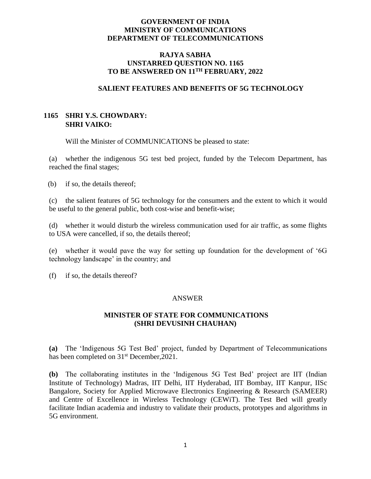## **GOVERNMENT OF INDIA MINISTRY OF COMMUNICATIONS DEPARTMENT OF TELECOMMUNICATIONS**

## **RAJYA SABHA UNSTARRED QUESTION NO. 1165 TO BE ANSWERED ON 11TH FEBRUARY, 2022**

## **SALIENT FEATURES AND BENEFITS OF 5G TECHNOLOGY**

# **1165 SHRI Y.S. CHOWDARY: SHRI VAIKO:**

Will the Minister of COMMUNICATIONS be pleased to state:

(a) whether the indigenous 5G test bed project, funded by the Telecom Department, has reached the final stages;

(b) if so, the details thereof;

(c) the salient features of 5G technology for the consumers and the extent to which it would be useful to the general public, both cost-wise and benefit-wise;

(d) whether it would disturb the wireless communication used for air traffic, as some flights to USA were cancelled, if so, the details thereof;

(e) whether it would pave the way for setting up foundation for the development of '6G technology landscape' in the country; and

(f) if so, the details thereof?

#### ANSWER

## **MINISTER OF STATE FOR COMMUNICATIONS (SHRI DEVUSINH CHAUHAN)**

**(a)** The 'Indigenous 5G Test Bed' project, funded by Department of Telecommunications has been completed on 31<sup>st</sup> December, 2021.

**(b)** The collaborating institutes in the 'Indigenous 5G Test Bed' project are IIT (Indian Institute of Technology) Madras, IIT Delhi, IIT Hyderabad, IIT Bombay, IIT Kanpur, IISc Bangalore, Society for Applied Microwave Electronics Engineering & Research (SAMEER) and Centre of Excellence in Wireless Technology (CEWiT). The Test Bed will greatly facilitate Indian academia and industry to validate their products, prototypes and algorithms in 5G environment.